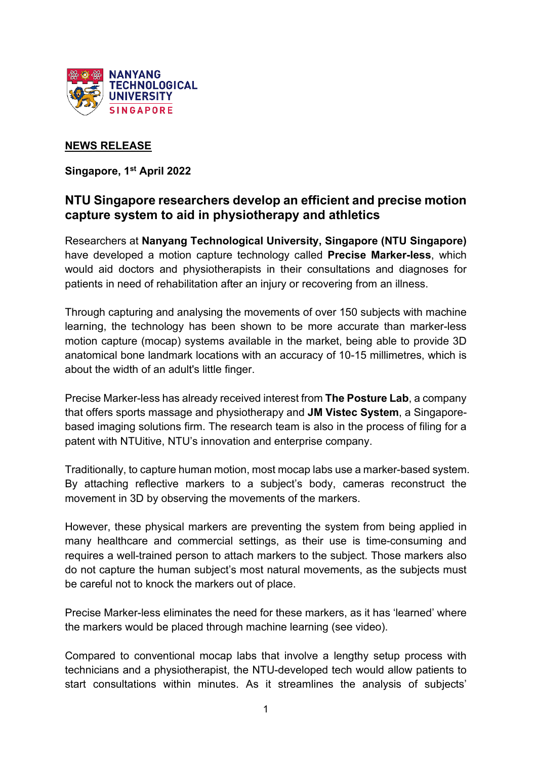

## **NEWS RELEASE**

**Singapore, 1st April 2022**

# **NTU Singapore researchers develop an efficient and precise motion capture system to aid in physiotherapy and athletics**

Researchers at **Nanyang Technological University, Singapore (NTU Singapore)** have developed a motion capture technology called **Precise Marker-less**, which would aid doctors and physiotherapists in their consultations and diagnoses for patients in need of rehabilitation after an injury or recovering from an illness.

Through capturing and analysing the movements of over 150 subjects with machine learning, the technology has been shown to be more accurate than marker-less motion capture (mocap) systems available in the market, being able to provide 3D anatomical bone landmark locations with an accuracy of 10-15 millimetres, which is about the width of an adult's little finger.

Precise Marker-less has already received interest from **The Posture Lab**, a company that offers sports massage and physiotherapy and **JM Vistec System**, a Singaporebased imaging solutions firm. The research team is also in the process of filing for a patent with NTUitive, NTU's innovation and enterprise company.

Traditionally, to capture human motion, most mocap labs use a marker-based system. By attaching reflective markers to a subject's body, cameras reconstruct the movement in 3D by observing the movements of the markers.

However, these physical markers are preventing the system from being applied in many healthcare and commercial settings, as their use is time-consuming and requires a well-trained person to attach markers to the subject. Those markers also do not capture the human subject's most natural movements, as the subjects must be careful not to knock the markers out of place.

Precise Marker-less eliminates the need for these markers, as it has 'learned' where the markers would be placed through machine learning (see video).

Compared to conventional mocap labs that involve a lengthy setup process with technicians and a physiotherapist, the NTU-developed tech would allow patients to start consultations within minutes. As it streamlines the analysis of subjects'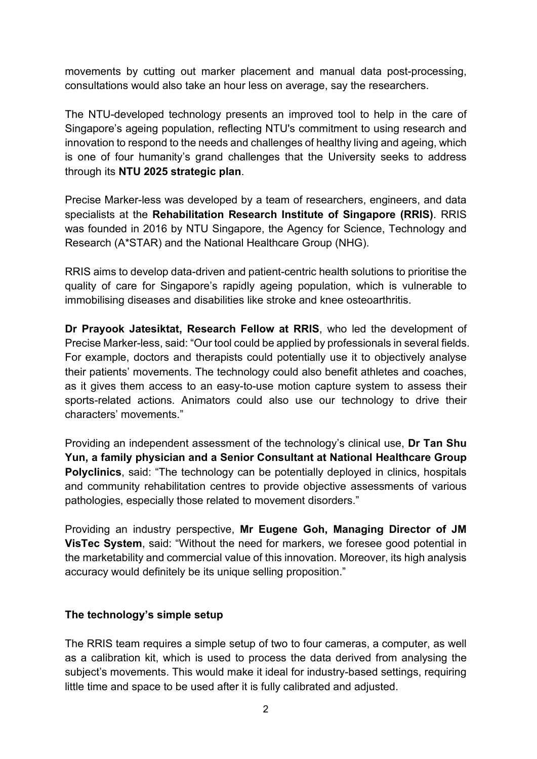movements by cutting out marker placement and manual data post-processing, consultations would also take an hour less on average, say the researchers.

The NTU-developed technology presents an improved tool to help in the care of Singapore's ageing population, reflecting NTU's commitment to using research and innovation to respond to the needs and challenges of healthy living and ageing, which is one of four humanity's grand challenges that the University seeks to address through its **NTU 2025 strategic plan**.

Precise Marker-less was developed by a team of researchers, engineers, and data specialists at the **Rehabilitation Research Institute of Singapore (RRIS)**. RRIS was founded in 2016 by NTU Singapore, the Agency for Science, Technology and Research (A\*STAR) and the National Healthcare Group (NHG).

RRIS aims to develop data-driven and patient-centric health solutions to prioritise the quality of care for Singapore's rapidly ageing population, which is vulnerable to immobilising diseases and disabilities like stroke and knee osteoarthritis.

**Dr Prayook Jatesiktat, Research Fellow at RRIS**, who led the development of Precise Marker-less, said: "Our tool could be applied by professionals in several fields. For example, doctors and therapists could potentially use it to objectively analyse their patients' movements. The technology could also benefit athletes and coaches, as it gives them access to an easy-to-use motion capture system to assess their sports-related actions. Animators could also use our technology to drive their characters' movements."

Providing an independent assessment of the technology's clinical use, **Dr Tan Shu Yun, a family physician and a Senior Consultant at National Healthcare Group Polyclinics**, said: "The technology can be potentially deployed in clinics, hospitals and community rehabilitation centres to provide objective assessments of various pathologies, especially those related to movement disorders."

Providing an industry perspective, **Mr Eugene Goh, Managing Director of JM VisTec System**, said: "Without the need for markers, we foresee good potential in the marketability and commercial value of this innovation. Moreover, its high analysis accuracy would definitely be its unique selling proposition."

## **The technology's simple setup**

The RRIS team requires a simple setup of two to four cameras, a computer, as well as a calibration kit, which is used to process the data derived from analysing the subject's movements. This would make it ideal for industry-based settings, requiring little time and space to be used after it is fully calibrated and adjusted.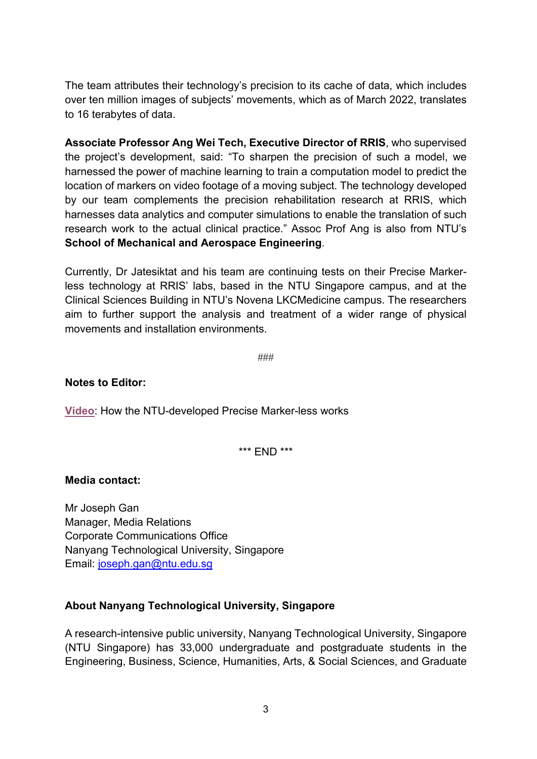The team attributes their technology's precision to its cache of data, which includes over ten million images of subjects' movements, which as of March 2022, translates to 16 terabytes of data.

**Associate Professor Ang Wei Tech, Executive Director of RRIS**, who supervised the project's development, said: "To sharpen the precision of such a model, we harnessed the power of machine learning to train a computation model to predict the location of markers on video footage of a moving subject. The technology developed by our team complements the precision rehabilitation research at RRIS, which harnesses data analytics and computer simulations to enable the translation of such research work to the actual clinical practice." Assoc Prof Ang is also from NTU's **School of Mechanical and Aerospace Engineering**.

Currently, Dr Jatesiktat and his team are continuing tests on their Precise Markerless technology at RRIS' labs, based in the NTU Singapore campus, and at the Clinical Sciences Building in NTU's Novena LKCMedicine campus. The researchers aim to further support the analysis and treatment of a wider range of physical movements and installation environments.

###

### **Notes to Editor:**

**[Video](https://www.youtube.com/watch?v=Bu62Nre4zWI&feature=youtu.be)**: How the NTU-developed Precise Marker-less works

\*\*\* END \*\*\*

#### **Media contact:**

Mr Joseph Gan Manager, Media Relations Corporate Communications Office Nanyang Technological University, Singapore Email: [joseph.gan@ntu.edu.sg](mailto:joseph.gan@ntu.edu.sg)

#### **About Nanyang Technological University, Singapore**

A research-intensive public university, Nanyang Technological University, Singapore (NTU Singapore) has 33,000 undergraduate and postgraduate students in the Engineering, Business, Science, Humanities, Arts, & Social Sciences, and Graduate